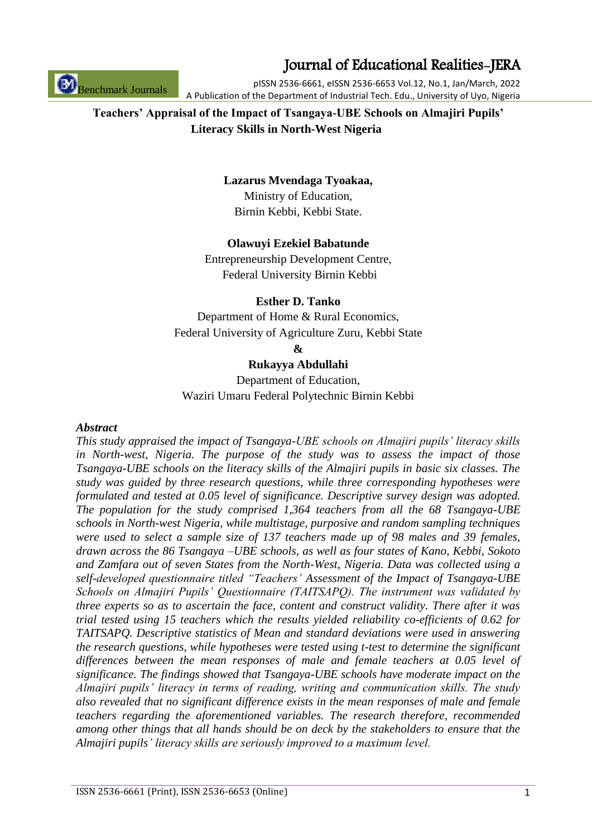ISSN 2536-6661 (Print), ISSN 2536-6653 (Online) 1

Journal of Educational Realities-JERA

pISSN 2536-6661, eISSN 2536-6653 Vol.12, No.1, Jan/March, 2022 A Publication of the Department of Industrial Tech. Edu., University of Uyo, Nigeria

## **Teachers' Appraisal of the Impact of Tsangaya-UBE Schools on Almajiri Pupils' Literacy Skills in North-West Nigeria**

## **Lazarus Mvendaga Tyoakaa,**

Ministry of Education, Birnin Kebbi, Kebbi State.

#### **Olawuyi Ezekiel Babatunde**

Entrepreneurship Development Centre, Federal University Birnin Kebbi

#### **Esther D. Tanko**

Department of Home & Rural Economics, Federal University of Agriculture Zuru, Kebbi State

**&**

## **Rukayya Abdullahi**

Department of Education, Waziri Umaru Federal Polytechnic Birnin Kebbi

#### *Abstract*

*This study appraised the impact of Tsangaya-UBE schools on Almajiri pupils' literacy skills in North-west, Nigeria. The purpose of the study was to assess the impact of those Tsangaya-UBE schools on the literacy skills of the Almajiri pupils in basic six classes. The study was guided by three research questions, while three corresponding hypotheses were formulated and tested at 0.05 level of significance. Descriptive survey design was adopted. The population for the study comprised 1,364 teachers from all the 68 Tsangaya-UBE schools in North-west Nigeria, while multistage, purposive and random sampling techniques were used to select a sample size of 137 teachers made up of 98 males and 39 females, drawn across the 86 Tsangaya –UBE schools, as well as four states of Kano, Kebbi, Sokoto and Zamfara out of seven States from the North-West, Nigeria. Data was collected using a self-developed questionnaire titled "Teachers' Assessment of the Impact of Tsangaya-UBE Schools on Almajiri Pupils' Questionnaire (TAITSAPQ). The instrument was validated by three experts so as to ascertain the face, content and construct validity. There after it was trial tested using 15 teachers which the results yielded reliability co-efficients of 0.62 for TAITSAPQ. Descriptive statistics of Mean and standard deviations were used in answering the research questions, while hypotheses were tested using t-test to determine the significant differences between the mean responses of male and female teachers at 0.05 level of significance. The findings showed that Tsangaya-UBE schools have moderate impact on the Almajiri pupils' literacy in terms of reading, writing and communication skills. The study also revealed that no significant difference exists in the mean responses of male and female teachers regarding the aforementioned variables. The research therefore, recommended among other things that all hands should be on deck by the stakeholders to ensure that the Almajiri pupils' literacy skills are seriously improved to a maximum level.*

Benchmark Journals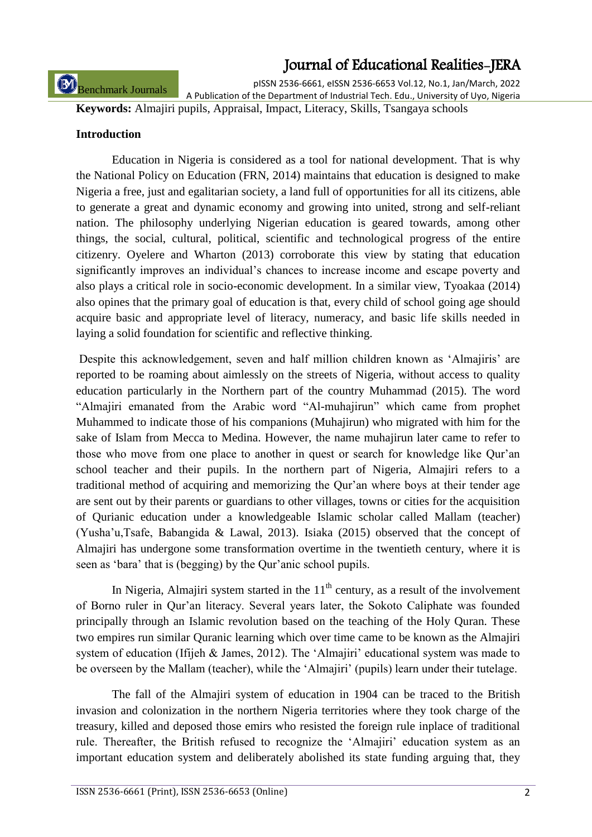Benchmark Journals

pISSN 2536-6661, eISSN 2536-6653 Vol.12, No.1, Jan/March, 2022 A Publication of the Department of Industrial Tech. Edu., University of Uyo, Nigeria

**Keywords:** Almajiri pupils, Appraisal, Impact, Literacy, Skills, Tsangaya schools

### **Introduction**

Education in Nigeria is considered as a tool for national development. That is why the National Policy on Education (FRN, 2014) maintains that education is designed to make Nigeria a free, just and egalitarian society, a land full of opportunities for all its citizens, able to generate a great and dynamic economy and growing into united, strong and self-reliant nation. The philosophy underlying Nigerian education is geared towards, among other things, the social, cultural, political, scientific and technological progress of the entire citizenry. Oyelere and Wharton (2013) corroborate this view by stating that education significantly improves an individual's chances to increase income and escape poverty and also plays a critical role in socio-economic development. In a similar view, Tyoakaa (2014) also opines that the primary goal of education is that, every child of school going age should acquire basic and appropriate level of literacy, numeracy, and basic life skills needed in laying a solid foundation for scientific and reflective thinking.

Despite this acknowledgement, seven and half million children known as 'Almajiris' are reported to be roaming about aimlessly on the streets of Nigeria, without access to quality education particularly in the Northern part of the country Muhammad (2015). The word "Almajiri emanated from the Arabic word "Al-muhajirun" which came from prophet Muhammed to indicate those of his companions (Muhajirun) who migrated with him for the sake of Islam from Mecca to Medina. However, the name muhajirun later came to refer to those who move from one place to another in quest or search for knowledge like Qur"an school teacher and their pupils. In the northern part of Nigeria, Almajiri refers to a traditional method of acquiring and memorizing the Qur"an where boys at their tender age are sent out by their parents or guardians to other villages, towns or cities for the acquisition of Qurianic education under a knowledgeable Islamic scholar called Mallam (teacher) (Yusha"u,Tsafe, Babangida & Lawal, 2013). Isiaka (2015) observed that the concept of Almajiri has undergone some transformation overtime in the twentieth century, where it is seen as 'bara' that is (begging) by the Qur'anic school pupils.

In Nigeria, Almajiri system started in the  $11<sup>th</sup>$  century, as a result of the involvement of Borno ruler in Qur"an literacy. Several years later, the Sokoto Caliphate was founded principally through an Islamic revolution based on the teaching of the Holy Quran. These two empires run similar Quranic learning which over time came to be known as the Almajiri system of education (Ifijeh & James, 2012). The 'Almajiri' educational system was made to be overseen by the Mallam (teacher), while the "Almajiri" (pupils) learn under their tutelage.

The fall of the Almajiri system of education in 1904 can be traced to the British invasion and colonization in the northern Nigeria territories where they took charge of the treasury, killed and deposed those emirs who resisted the foreign rule inplace of traditional rule. Thereafter, the British refused to recognize the "Almajiri" education system as an important education system and deliberately abolished its state funding arguing that, they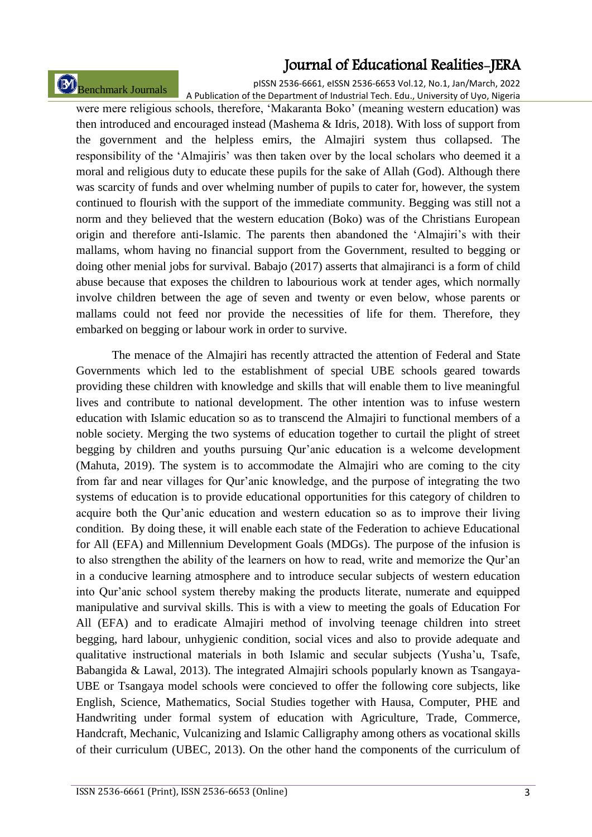# Benchmark Journals

pISSN 2536-6661, eISSN 2536-6653 Vol.12, No.1, Jan/March, 2022 A Publication of the Department of Industrial Tech. Edu., University of Uyo, Nigeria

were mere religious schools, therefore, "Makaranta Boko" (meaning western education) was then introduced and encouraged instead (Mashema & Idris, 2018). With loss of support from the government and the helpless emirs, the Almajiri system thus collapsed. The responsibility of the 'Almajiris' was then taken over by the local scholars who deemed it a moral and religious duty to educate these pupils for the sake of Allah (God). Although there was scarcity of funds and over whelming number of pupils to cater for, however, the system continued to flourish with the support of the immediate community. Begging was still not a norm and they believed that the western education (Boko) was of the Christians European origin and therefore anti-Islamic. The parents then abandoned the 'Almajiri's with their mallams, whom having no financial support from the Government, resulted to begging or doing other menial jobs for survival. Babajo (2017) asserts that almajiranci is a form of child abuse because that exposes the children to labourious work at tender ages, which normally involve children between the age of seven and twenty or even below, whose parents or mallams could not feed nor provide the necessities of life for them. Therefore, they embarked on begging or labour work in order to survive.

The menace of the Almajiri has recently attracted the attention of Federal and State Governments which led to the establishment of special UBE schools geared towards providing these children with knowledge and skills that will enable them to live meaningful lives and contribute to national development. The other intention was to infuse western education with Islamic education so as to transcend the Almajiri to functional members of a noble society. Merging the two systems of education together to curtail the plight of street begging by children and youths pursuing Qur'anic education is a welcome development (Mahuta, 2019). The system is to accommodate the Almajiri who are coming to the city from far and near villages for Qur"anic knowledge, and the purpose of integrating the two systems of education is to provide educational opportunities for this category of children to acquire both the Qur'anic education and western education so as to improve their living condition. By doing these, it will enable each state of the Federation to achieve Educational for All (EFA) and Millennium Development Goals (MDGs). The purpose of the infusion is to also strengthen the ability of the learners on how to read, write and memorize the Qur"an in a conducive learning atmosphere and to introduce secular subjects of western education into Qur'anic school system thereby making the products literate, numerate and equipped manipulative and survival skills. This is with a view to meeting the goals of Education For All (EFA) and to eradicate Almajiri method of involving teenage children into street begging, hard labour, unhygienic condition, social vices and also to provide adequate and qualitative instructional materials in both Islamic and secular subjects (Yusha"u, Tsafe, Babangida & Lawal, 2013). The integrated Almajiri schools popularly known as Tsangaya-UBE or Tsangaya model schools were concieved to offer the following core subjects, like English, Science, Mathematics, Social Studies together with Hausa, Computer, PHE and Handwriting under formal system of education with Agriculture, Trade, Commerce, Handcraft, Mechanic, Vulcanizing and Islamic Calligraphy among others as vocational skills of their curriculum (UBEC, 2013). On the other hand the components of the curriculum of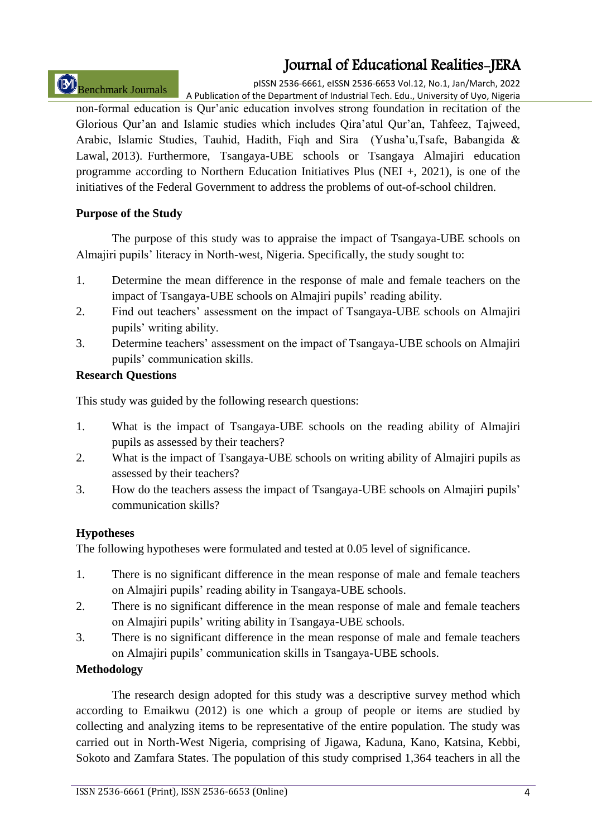# Benchmark Journals

pISSN 2536-6661, eISSN 2536-6653 Vol.12, No.1, Jan/March, 2022 A Publication of the Department of Industrial Tech. Edu., University of Uyo, Nigeria

non-formal education is Qur"anic education involves strong foundation in recitation of the Glorious Qur"an and Islamic studies which includes Qira"atul Qur"an, Tahfeez, Tajweed, Arabic, Islamic Studies, Tauhid, Hadith, Fiqh and Sira (Yusha"u,Tsafe, Babangida & Lawal, 2013). Furthermore, Tsangaya-UBE schools or Tsangaya Almajiri education programme according to Northern Education Initiatives Plus (NEI  $+$ , 2021), is one of the initiatives of the Federal Government to address the problems of out-of-school children.

### **Purpose of the Study**

The purpose of this study was to appraise the impact of Tsangaya-UBE schools on Almajiri pupils" literacy in North-west, Nigeria. Specifically, the study sought to:

- 1. Determine the mean difference in the response of male and female teachers on the impact of Tsangaya-UBE schools on Almajiri pupils' reading ability.
- 2. Find out teachers" assessment on the impact of Tsangaya-UBE schools on Almajiri pupils" writing ability.
- 3. Determine teachers" assessment on the impact of Tsangaya-UBE schools on Almajiri pupils" communication skills.

#### **Research Questions**

This study was guided by the following research questions:

- 1. What is the impact of Tsangaya-UBE schools on the reading ability of Almajiri pupils as assessed by their teachers?
- 2. What is the impact of Tsangaya-UBE schools on writing ability of Almajiri pupils as assessed by their teachers?
- 3. How do the teachers assess the impact of Tsangaya-UBE schools on Almajiri pupils" communication skills?

### **Hypotheses**

The following hypotheses were formulated and tested at 0.05 level of significance.

- 1. There is no significant difference in the mean response of male and female teachers on Almajiri pupils" reading ability in Tsangaya-UBE schools.
- 2. There is no significant difference in the mean response of male and female teachers on Almajiri pupils" writing ability in Tsangaya-UBE schools.
- 3. There is no significant difference in the mean response of male and female teachers on Almajiri pupils" communication skills in Tsangaya-UBE schools.

### **Methodology**

The research design adopted for this study was a descriptive survey method which according to Emaikwu (2012) is one which a group of people or items are studied by collecting and analyzing items to be representative of the entire population. The study was carried out in North-West Nigeria, comprising of Jigawa, Kaduna, Kano, Katsina, Kebbi, Sokoto and Zamfara States. The population of this study comprised 1,364 teachers in all the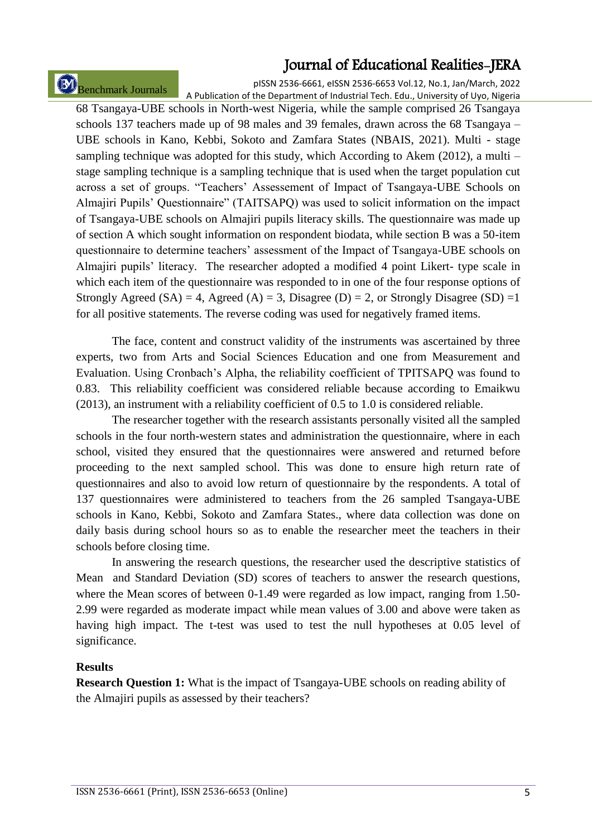# Benchmark Journals

pISSN 2536-6661, eISSN 2536-6653 Vol.12, No.1, Jan/March, 2022 A Publication of the Department of Industrial Tech. Edu., University of Uyo, Nigeria

68 Tsangaya-UBE schools in North-west Nigeria, while the sample comprised 26 Tsangaya schools 137 teachers made up of 98 males and 39 females, drawn across the 68 Tsangaya – UBE schools in Kano, Kebbi, Sokoto and Zamfara States (NBAIS, 2021). Multi - stage sampling technique was adopted for this study, which According to Akem (2012), a multi – stage sampling technique is a sampling technique that is used when the target population cut across a set of groups. "Teachers" Assessement of Impact of Tsangaya-UBE Schools on Almajiri Pupils" Questionnaire" (TAITSAPQ) was used to solicit information on the impact of Tsangaya-UBE schools on Almajiri pupils literacy skills. The questionnaire was made up of section A which sought information on respondent biodata, while section B was a 50-item questionnaire to determine teachers" assessment of the Impact of Tsangaya-UBE schools on Almajiri pupils" literacy. The researcher adopted a modified 4 point Likert- type scale in which each item of the questionnaire was responded to in one of the four response options of Strongly Agreed (SA) = 4, Agreed (A) = 3, Disagree (D) = 2, or Strongly Disagree (SD) = 1 for all positive statements. The reverse coding was used for negatively framed items.

The face, content and construct validity of the instruments was ascertained by three experts, two from Arts and Social Sciences Education and one from Measurement and Evaluation. Using Cronbach"s Alpha, the reliability coefficient of TPITSAPQ was found to 0.83. This reliability coefficient was considered reliable because according to Emaikwu (2013), an instrument with a reliability coefficient of 0.5 to 1.0 is considered reliable.

The researcher together with the research assistants personally visited all the sampled schools in the four north-western states and administration the questionnaire, where in each school, visited they ensured that the questionnaires were answered and returned before proceeding to the next sampled school. This was done to ensure high return rate of questionnaires and also to avoid low return of questionnaire by the respondents. A total of 137 questionnaires were administered to teachers from the 26 sampled Tsangaya-UBE schools in Kano, Kebbi, Sokoto and Zamfara States., where data collection was done on daily basis during school hours so as to enable the researcher meet the teachers in their schools before closing time.

In answering the research questions, the researcher used the descriptive statistics of Mean and Standard Deviation (SD) scores of teachers to answer the research questions, where the Mean scores of between 0-1.49 were regarded as low impact, ranging from 1.50-2.99 were regarded as moderate impact while mean values of 3.00 and above were taken as having high impact. The t-test was used to test the null hypotheses at 0.05 level of significance.

#### **Results**

**Research Question 1:** What is the impact of Tsangaya-UBE schools on reading ability of the Almajiri pupils as assessed by their teachers?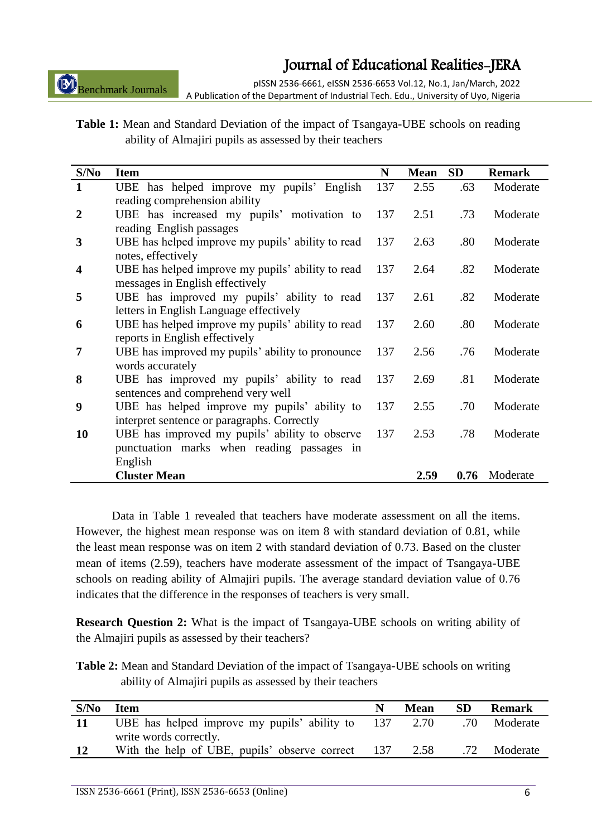Benchmark Journals

pISSN 2536-6661, eISSN 2536-6653 Vol.12, No.1, Jan/March, 2022 A Publication of the Department of Industrial Tech. Edu., University of Uyo, Nigeria

**Table 1:** Mean and Standard Deviation of the impact of Tsangaya-UBE schools on reading ability of Almajiri pupils as assessed by their teachers

| S/No                    | <b>Item</b>                                                                       | N   | <b>Mean</b> | <b>SD</b> | <b>Remark</b> |
|-------------------------|-----------------------------------------------------------------------------------|-----|-------------|-----------|---------------|
| $\mathbf{1}$            | UBE has helped improve my pupils' English                                         | 137 | 2.55        | .63       | Moderate      |
|                         | reading comprehension ability                                                     |     |             |           |               |
| $\overline{2}$          | UBE has increased my pupils' motivation to                                        | 137 | 2.51        | .73       | Moderate      |
|                         | reading English passages                                                          |     |             |           |               |
| 3                       | UBE has helped improve my pupils' ability to read                                 | 137 | 2.63        | .80       | Moderate      |
|                         | notes, effectively                                                                |     |             |           |               |
| $\overline{\mathbf{4}}$ | UBE has helped improve my pupils' ability to read                                 | 137 | 2.64        | .82       | Moderate      |
|                         | messages in English effectively                                                   |     |             |           |               |
| 5                       | UBE has improved my pupils' ability to read                                       | 137 | 2.61        | .82       | Moderate      |
|                         | letters in English Language effectively                                           |     |             |           |               |
| 6                       | UBE has helped improve my pupils' ability to read                                 | 137 | 2.60        | .80       | Moderate      |
|                         | reports in English effectively                                                    |     |             |           |               |
| 7                       | UBE has improved my pupils' ability to pronounce                                  | 137 | 2.56        | .76       | Moderate      |
|                         | words accurately                                                                  | 137 | 2.69        | .81       | Moderate      |
| 8                       | UBE has improved my pupils' ability to read<br>sentences and comprehend very well |     |             |           |               |
| 9                       | UBE has helped improve my pupils' ability to                                      | 137 | 2.55        | .70       | Moderate      |
|                         | interpret sentence or paragraphs. Correctly                                       |     |             |           |               |
| <b>10</b>               | UBE has improved my pupils' ability to observe                                    | 137 | 2.53        | .78       | Moderate      |
|                         | punctuation marks when reading passages in                                        |     |             |           |               |
|                         | English                                                                           |     |             |           |               |
|                         | <b>Cluster Mean</b>                                                               |     | 2.59        | 0.76      | Moderate      |
|                         |                                                                                   |     |             |           |               |

Data in Table 1 revealed that teachers have moderate assessment on all the items. However, the highest mean response was on item 8 with standard deviation of 0.81, while the least mean response was on item 2 with standard deviation of 0.73. Based on the cluster mean of items (2.59), teachers have moderate assessment of the impact of Tsangaya-UBE schools on reading ability of Almajiri pupils. The average standard deviation value of 0.76 indicates that the difference in the responses of teachers is very small.

**Research Question 2:** What is the impact of Tsangaya-UBE schools on writing ability of the Almajiri pupils as assessed by their teachers?

**Table 2:** Mean and Standard Deviation of the impact of Tsangaya-UBE schools on writing ability of Almajiri pupils as assessed by their teachers

| S/No      | <b>Item</b>                                            | <b>Mean</b> | <b>SD</b> | <b>Remark</b> |
|-----------|--------------------------------------------------------|-------------|-----------|---------------|
|           | UBE has helped improve my pupils' ability to           | 137 2.70    | .70       | Moderate      |
|           | write words correctly.                                 |             |           |               |
| <b>12</b> | With the help of UBE, pupils' observe correct 137 2.58 |             | .72       | Moderate      |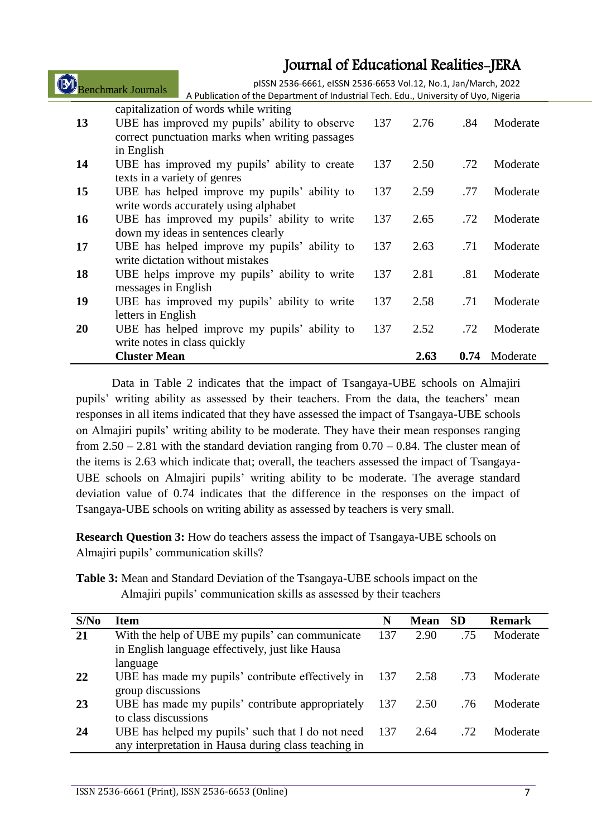| (BM)<br><b>Benchmark Journals</b> |                              | pISSN 2536-6661, eISSN 2536-6653 Vol.12, No.1, Jan/March, 2022<br>A Publication of the Department of Industrial Tech. Edu., University of Uyo, Nigeria |     |      |      |          |  |  |  |
|-----------------------------------|------------------------------|--------------------------------------------------------------------------------------------------------------------------------------------------------|-----|------|------|----------|--|--|--|
|                                   |                              |                                                                                                                                                        |     |      |      |          |  |  |  |
|                                   |                              | capitalization of words while writing                                                                                                                  |     |      |      |          |  |  |  |
| 13                                |                              | UBE has improved my pupils' ability to observe                                                                                                         | 137 | 2.76 | .84  | Moderate |  |  |  |
|                                   |                              | correct punctuation marks when writing passages                                                                                                        |     |      |      |          |  |  |  |
|                                   | in English                   |                                                                                                                                                        |     |      |      |          |  |  |  |
| 14                                |                              | UBE has improved my pupils' ability to create                                                                                                          | 137 | 2.50 | .72  | Moderate |  |  |  |
|                                   | texts in a variety of genres |                                                                                                                                                        |     |      |      |          |  |  |  |
| 15                                |                              | UBE has helped improve my pupils' ability to                                                                                                           | 137 | 2.59 | .77  | Moderate |  |  |  |
|                                   |                              | write words accurately using alphabet                                                                                                                  |     |      |      |          |  |  |  |
| <b>16</b>                         |                              | UBE has improved my pupils' ability to write                                                                                                           | 137 | 2.65 | .72  | Moderate |  |  |  |
|                                   |                              | down my ideas in sentences clearly                                                                                                                     |     |      |      |          |  |  |  |
| 17                                |                              | UBE has helped improve my pupils' ability to                                                                                                           | 137 | 2.63 | .71  | Moderate |  |  |  |
|                                   |                              | write dictation without mistakes                                                                                                                       |     |      |      |          |  |  |  |
| 18                                |                              | UBE helps improve my pupils' ability to write                                                                                                          | 137 | 2.81 | .81  | Moderate |  |  |  |
|                                   | messages in English          |                                                                                                                                                        |     |      |      |          |  |  |  |
| 19                                |                              | UBE has improved my pupils' ability to write                                                                                                           | 137 | 2.58 | .71  | Moderate |  |  |  |
|                                   | letters in English           |                                                                                                                                                        |     |      |      |          |  |  |  |
| 20                                |                              | UBE has helped improve my pupils' ability to                                                                                                           | 137 | 2.52 | .72  | Moderate |  |  |  |
|                                   |                              | write notes in class quickly                                                                                                                           |     |      |      |          |  |  |  |
|                                   | <b>Cluster Mean</b>          |                                                                                                                                                        |     | 2.63 | 0.74 | Moderate |  |  |  |

Data in Table 2 indicates that the impact of Tsangaya-UBE schools on Almajiri pupils' writing ability as assessed by their teachers. From the data, the teachers' mean responses in all items indicated that they have assessed the impact of Tsangaya-UBE schools on Almajiri pupils" writing ability to be moderate. They have their mean responses ranging from  $2.50 - 2.81$  with the standard deviation ranging from  $0.70 - 0.84$ . The cluster mean of the items is 2.63 which indicate that; overall, the teachers assessed the impact of Tsangaya-UBE schools on Almajiri pupils" writing ability to be moderate. The average standard deviation value of 0.74 indicates that the difference in the responses on the impact of Tsangaya-UBE schools on writing ability as assessed by teachers is very small.

**Research Question 3:** How do teachers assess the impact of Tsangaya-UBE schools on Almajiri pupils" communication skills?

**Table 3:** Mean and Standard Deviation of the Tsangaya-UBE schools impact on the Almajiri pupils" communication skills as assessed by their teachers

| S/No | <b>Item</b>                                          | N   | <b>Mean</b> | <b>SD</b> | <b>Remark</b> |
|------|------------------------------------------------------|-----|-------------|-----------|---------------|
| 21   | With the help of UBE my pupils' can communicate      | 137 | 2.90        | .75       | Moderate      |
|      | in English language effectively, just like Hausa     |     |             |           |               |
|      | language                                             |     |             |           |               |
| 22   | UBE has made my pupils' contribute effectively in    | 137 | 2.58        | .73       | Moderate      |
|      | group discussions                                    |     |             |           |               |
| 23   | UBE has made my pupils' contribute appropriately     | 137 | 2.50        | .76       | Moderate      |
|      | to class discussions                                 |     |             |           |               |
| 24   | UBE has helped my pupils' such that I do not need    | 137 | 2.64        | .72       | Moderate      |
|      | any interpretation in Hausa during class teaching in |     |             |           |               |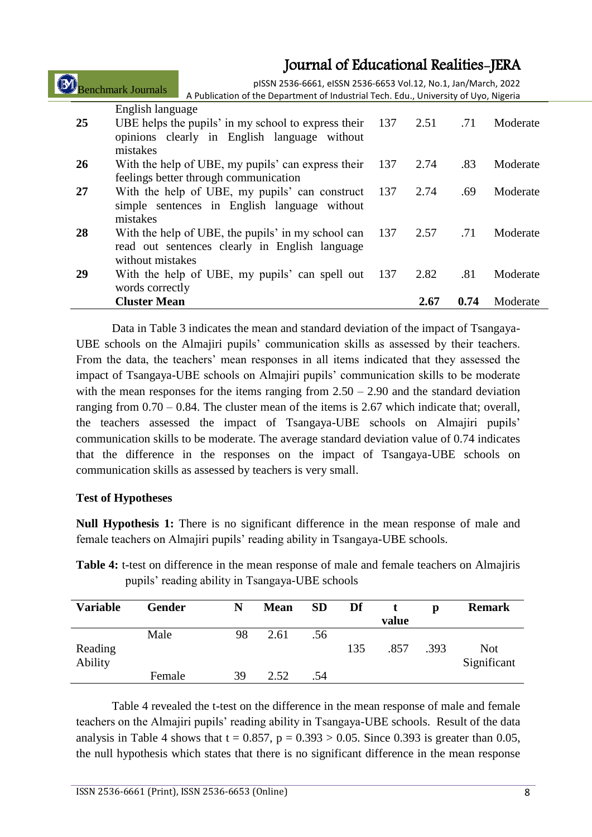|    | <b>Benchmark Journals</b>                                                                           | pISSN 2536-6661, eISSN 2536-6653 Vol.12, No.1, Jan/March, 2022<br>A Publication of the Department of Industrial Tech. Edu., University of Uyo, Nigeria |      |      |          |  |  |  |
|----|-----------------------------------------------------------------------------------------------------|--------------------------------------------------------------------------------------------------------------------------------------------------------|------|------|----------|--|--|--|
|    | English language                                                                                    |                                                                                                                                                        |      |      |          |  |  |  |
| 25 | UBE helps the pupils' in my school to express their<br>opinions clearly in English language without | 137                                                                                                                                                    | 2.51 | .71  | Moderate |  |  |  |
|    | mistakes                                                                                            |                                                                                                                                                        |      |      |          |  |  |  |
| 26 | With the help of UBE, my pupils' can express their                                                  | 137                                                                                                                                                    | 2.74 | .83  | Moderate |  |  |  |
|    | feelings better through communication                                                               |                                                                                                                                                        |      |      |          |  |  |  |
| 27 | With the help of UBE, my pupils' can construct                                                      | 137                                                                                                                                                    | 2.74 | .69  | Moderate |  |  |  |
|    | simple sentences in English language without<br>mistakes                                            |                                                                                                                                                        |      |      |          |  |  |  |
| 28 | With the help of UBE, the pupils' in my school can 137                                              |                                                                                                                                                        | 2.57 | .71  | Moderate |  |  |  |
|    | read out sentences clearly in English language                                                      |                                                                                                                                                        |      |      |          |  |  |  |
|    | without mistakes                                                                                    |                                                                                                                                                        |      |      |          |  |  |  |
| 29 | With the help of UBE, my pupils' can spell out                                                      | 137                                                                                                                                                    | 2.82 | .81  | Moderate |  |  |  |
|    | words correctly                                                                                     |                                                                                                                                                        |      |      |          |  |  |  |
|    | <b>Cluster Mean</b>                                                                                 |                                                                                                                                                        | 2.67 | 0.74 | Moderate |  |  |  |

Data in Table 3 indicates the mean and standard deviation of the impact of Tsangaya-UBE schools on the Almajiri pupils" communication skills as assessed by their teachers. From the data, the teachers' mean responses in all items indicated that they assessed the impact of Tsangaya-UBE schools on Almajiri pupils" communication skills to be moderate with the mean responses for the items ranging from  $2.50 - 2.90$  and the standard deviation ranging from 0.70 – 0.84. The cluster mean of the items is 2.67 which indicate that; overall, the teachers assessed the impact of Tsangaya-UBE schools on Almajiri pupils" communication skills to be moderate. The average standard deviation value of 0.74 indicates that the difference in the responses on the impact of Tsangaya-UBE schools on communication skills as assessed by teachers is very small.

#### **Test of Hypotheses**

**Null Hypothesis 1:** There is no significant difference in the mean response of male and female teachers on Almajiri pupils' reading ability in Tsangaya-UBE schools.

**Table 4:** t-test on difference in the mean response of male and female teachers on Almajiris pupils" reading ability in Tsangaya-UBE schools

| <b>Variable</b> | <b>Gender</b> | N  | <b>Mean</b> | <b>SD</b> | Df  | value | D    | <b>Remark</b> |
|-----------------|---------------|----|-------------|-----------|-----|-------|------|---------------|
| Reading         | Male          | 98 | 2.61        | .56       | 135 | .857  | .393 | <b>Not</b>    |
| Ability         | Female        | 39 | 2.52        | .54       |     |       |      | Significant   |

Table 4 revealed the t-test on the difference in the mean response of male and female teachers on the Almajiri pupils" reading ability in Tsangaya-UBE schools. Result of the data analysis in Table 4 shows that  $t = 0.857$ ,  $p = 0.393 > 0.05$ . Since 0.393 is greater than 0.05, the null hypothesis which states that there is no significant difference in the mean response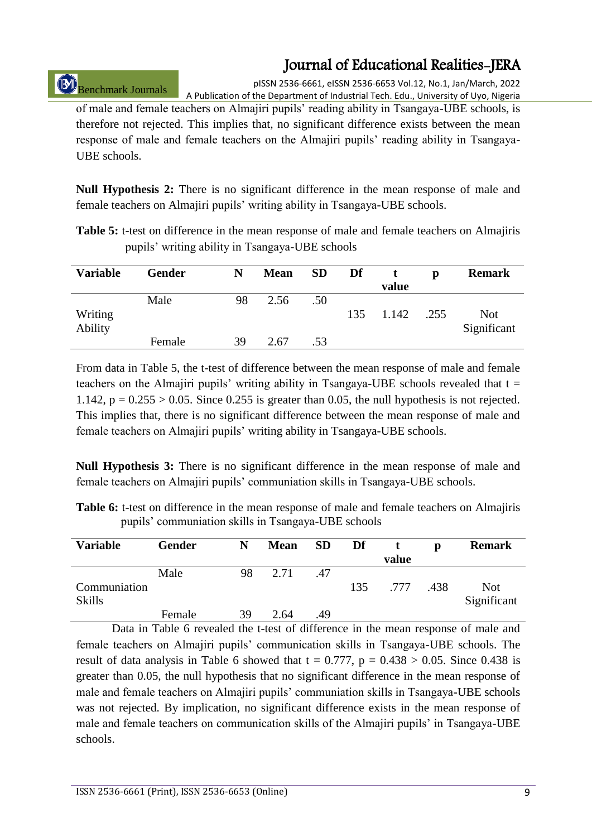# Benchmark Journals

pISSN 2536-6661, eISSN 2536-6653 Vol.12, No.1, Jan/March, 2022 A Publication of the Department of Industrial Tech. Edu., University of Uyo, Nigeria

of male and female teachers on Almajiri pupils" reading ability in Tsangaya-UBE schools, is therefore not rejected. This implies that, no significant difference exists between the mean response of male and female teachers on the Almajiri pupils' reading ability in Tsangaya-UBE schools.

**Null Hypothesis 2:** There is no significant difference in the mean response of male and female teachers on Almajiri pupils" writing ability in Tsangaya-UBE schools.

**Table 5:** t-test on difference in the mean response of male and female teachers on Almajiris pupils" writing ability in Tsangaya-UBE schools

| <b>Variable</b> | <b>Gender</b> | N  | <b>Mean</b> | <b>SD</b> | Df  | value | D    | <b>Remark</b> |
|-----------------|---------------|----|-------------|-----------|-----|-------|------|---------------|
| Writing         | Male          | 98 | 2.56        | .50       | 135 | 1.142 | .255 | <b>Not</b>    |
| Ability         | Female        | 39 | 2.67        | .53       |     |       |      | Significant   |

From data in Table 5, the t-test of difference between the mean response of male and female teachers on the Almajiri pupils' writing ability in Tsangaya-UBE schools revealed that  $t =$ 1.142,  $p = 0.255 > 0.05$ . Since 0.255 is greater than 0.05, the null hypothesis is not rejected. This implies that, there is no significant difference between the mean response of male and female teachers on Almajiri pupils" writing ability in Tsangaya-UBE schools.

**Null Hypothesis 3:** There is no significant difference in the mean response of male and female teachers on Almajiri pupils" communiation skills in Tsangaya-UBE schools.

**Table 6:** t-test on difference in the mean response of male and female teachers on Almajiris pupils" communiation skills in Tsangaya-UBE schools

| <b>Variable</b>               | <b>Gender</b> | N  | <b>Mean</b> | <b>SD</b> | Df  | value | D    | <b>Remark</b>      |
|-------------------------------|---------------|----|-------------|-----------|-----|-------|------|--------------------|
|                               | Male          | 98 | 2.71        | .47       |     |       |      |                    |
| Communiation<br><b>Skills</b> |               |    |             |           | 135 | .777  | .438 | Not<br>Significant |
|                               | Female        | 39 | 2.64        | .49       |     |       |      |                    |

Data in Table 6 revealed the t-test of difference in the mean response of male and female teachers on Almajiri pupils" communication skills in Tsangaya-UBE schools. The result of data analysis in Table 6 showed that  $t = 0.777$ ,  $p = 0.438 > 0.05$ . Since 0.438 is greater than 0.05, the null hypothesis that no significant difference in the mean response of male and female teachers on Almajiri pupils" communiation skills in Tsangaya-UBE schools was not rejected. By implication, no significant difference exists in the mean response of male and female teachers on communication skills of the Almajiri pupils" in Tsangaya-UBE schools.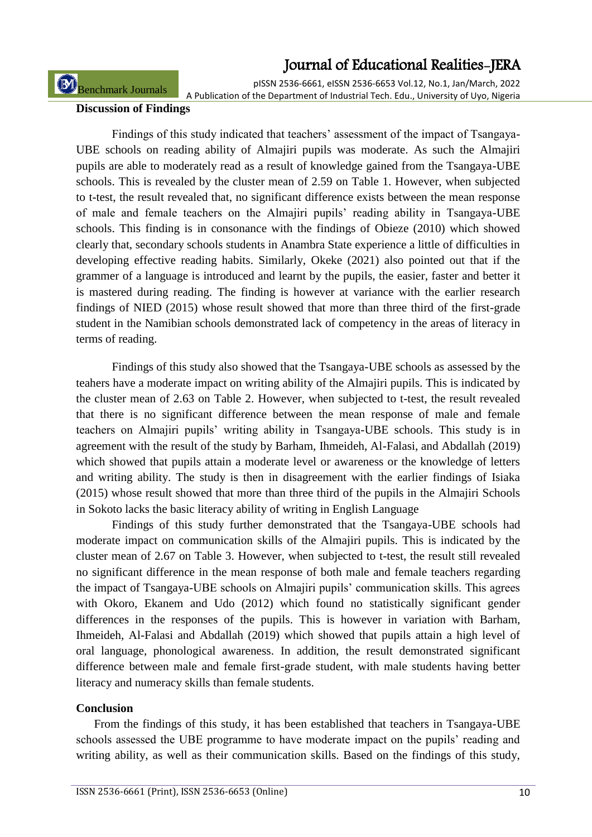pISSN 2536-6661, eISSN 2536-6653 Vol.12, No.1, Jan/March, 2022

Benchmark Journals

A Publication of the Department of Industrial Tech. Edu., University of Uyo, Nigeria

#### **Discussion of Findings**

Findings of this study indicated that teachers' assessment of the impact of Tsangaya-UBE schools on reading ability of Almajiri pupils was moderate. As such the Almajiri pupils are able to moderately read as a result of knowledge gained from the Tsangaya-UBE schools. This is revealed by the cluster mean of 2.59 on Table 1. However, when subjected to t-test, the result revealed that, no significant difference exists between the mean response of male and female teachers on the Almajiri pupils" reading ability in Tsangaya-UBE schools. This finding is in consonance with the findings of Obieze (2010) which showed clearly that, secondary schools students in Anambra State experience a little of difficulties in developing effective reading habits. Similarly, Okeke (2021) also pointed out that if the grammer of a language is introduced and learnt by the pupils, the easier, faster and better it is mastered during reading. The finding is however at variance with the earlier research findings of NIED (2015) whose result showed that more than three third of the first-grade student in the Namibian schools demonstrated lack of competency in the areas of literacy in terms of reading.

Findings of this study also showed that the Tsangaya-UBE schools as assessed by the teahers have a moderate impact on writing ability of the Almajiri pupils. This is indicated by the cluster mean of 2.63 on Table 2. However, when subjected to t-test, the result revealed that there is no significant difference between the mean response of male and female teachers on Almajiri pupils" writing ability in Tsangaya-UBE schools. This study is in agreement with the result of the study by Barham, Ihmeideh, Al-Falasi, and Abdallah (2019) which showed that pupils attain a moderate level or awareness or the knowledge of letters and writing ability. The study is then in disagreement with the earlier findings of Isiaka (2015) whose result showed that more than three third of the pupils in the Almajiri Schools in Sokoto lacks the basic literacy ability of writing in English Language

Findings of this study further demonstrated that the Tsangaya-UBE schools had moderate impact on communication skills of the Almajiri pupils. This is indicated by the cluster mean of 2.67 on Table 3. However, when subjected to t-test, the result still revealed no significant difference in the mean response of both male and female teachers regarding the impact of Tsangaya-UBE schools on Almajiri pupils" communication skills. This agrees with Okoro, Ekanem and Udo (2012) which found no statistically significant gender differences in the responses of the pupils. This is however in variation with Barham, Ihmeideh, Al-Falasi and Abdallah (2019) which showed that pupils attain a high level of oral language, phonological awareness. In addition, the result demonstrated significant difference between male and female first-grade student, with male students having better literacy and numeracy skills than female students.

#### **Conclusion**

From the findings of this study, it has been established that teachers in Tsangaya-UBE schools assessed the UBE programme to have moderate impact on the pupils' reading and writing ability, as well as their communication skills. Based on the findings of this study,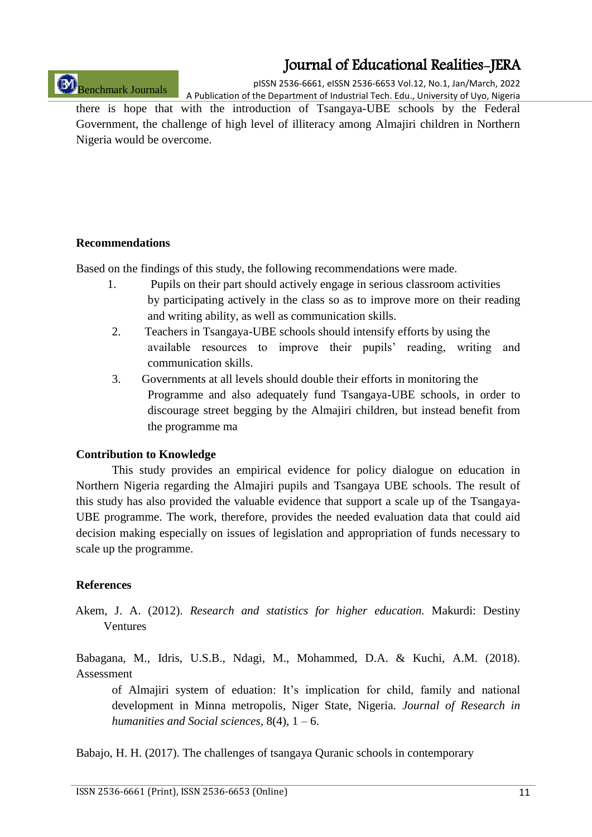# Benchmark Journals

## Journal of Educational Realities-JERA

pISSN 2536-6661, eISSN 2536-6653 Vol.12, No.1, Jan/March, 2022

A Publication of the Department of Industrial Tech. Edu., University of Uyo, Nigeria there is hope that with the introduction of Tsangaya-UBE schools by the Federal Government, the challenge of high level of illiteracy among Almajiri children in Northern Nigeria would be overcome.

#### **Recommendations**

Based on the findings of this study, the following recommendations were made.

- 1. Pupils on their part should actively engage in serious classroom activities by participating actively in the class so as to improve more on their reading and writing ability, as well as communication skills.
- 2. Teachers in Tsangaya-UBE schools should intensify efforts by using the available resources to improve their pupils' reading, writing and communication skills.
- 3. Governments at all levels should double their efforts in monitoring the Programme and also adequately fund Tsangaya-UBE schools, in order to discourage street begging by the Almajiri children, but instead benefit from the programme ma

#### **Contribution to Knowledge**

This study provides an empirical evidence for policy dialogue on education in Northern Nigeria regarding the Almajiri pupils and Tsangaya UBE schools. The result of this study has also provided the valuable evidence that support a scale up of the Tsangaya-UBE programme. The work, therefore, provides the needed evaluation data that could aid decision making especially on issues of legislation and appropriation of funds necessary to scale up the programme.

#### **References**

Akem, J. A. (2012). *Research and statistics for higher education.* Makurdi: Destiny Ventures

Babagana, M., Idris, U.S.B., Ndagi, M., Mohammed, D.A. & Kuchi, A.M. (2018). Assessment

of Almajiri system of eduation: It"s implication for child, family and national development in Minna metropolis, Niger State, Nigeria. *Journal of Research in humanities and Social sciences,*  $8(4)$ ,  $1 - 6$ .

Babajo, H. H. (2017). The challenges of tsangaya Quranic schools in contemporary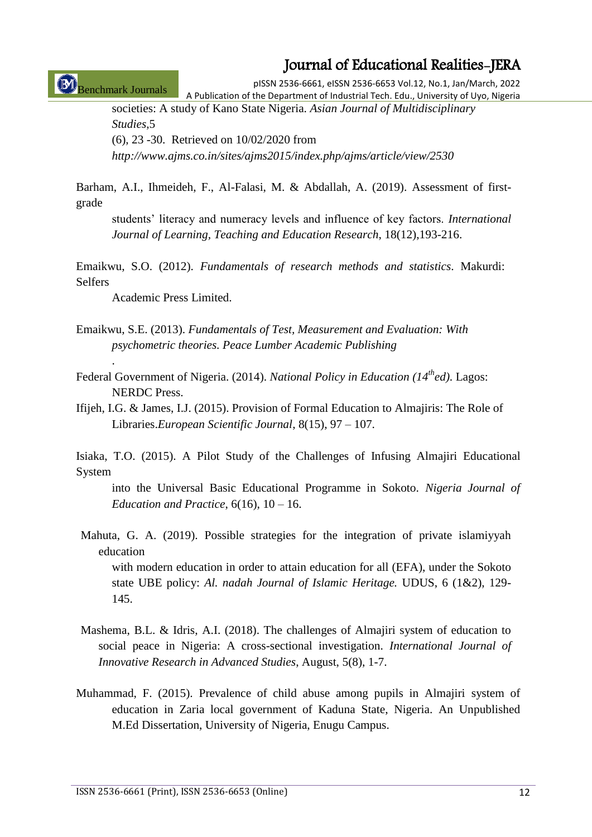Benchmark Journals

pISSN 2536-6661, eISSN 2536-6653 Vol.12, No.1, Jan/March, 2022 A Publication of the Department of Industrial Tech. Edu., University of Uyo, Nigeria

societies: A study of Kano State Nigeria. *Asian Journal of Multidisciplinary Studies,*5 (6), 23 -30. Retrieved on 10/02/2020 from *http://www.ajms.co.in/sites/ajms2015/index.php/ajms/article/view/2530*

Barham, A.I., Ihmeideh, F., Al-Falasi, M. & Abdallah, A. (2019). Assessment of first-

grade

.

students" literacy and numeracy levels and influence of key factors. *International Journal of Learning, Teaching and Education Research*, 18(12),193-216.

Emaikwu, S.O. (2012). *Fundamentals of research methods and statistics*. Makurdi: Selfers

Academic Press Limited.

- Emaikwu, S.E. (2013). *Fundamentals of Test, Measurement and Evaluation: With psychometric theories. Peace Lumber Academic Publishing*
- Federal Government of Nigeria. (2014). *National Policy in Education (14thed)*. Lagos: NERDC Press.
- Ifijeh, I.G. & James, I.J. (2015). Provision of Formal Education to Almajiris: The Role of Libraries.*European Scientific Journal*, 8(15), 97 – 107.

Isiaka, T.O. (2015). A Pilot Study of the Challenges of Infusing Almajiri Educational System

into the Universal Basic Educational Programme in Sokoto. *Nigeria Journal of Education and Practice*, 6(16), 10 – 16.

Mahuta, G. A. (2019). Possible strategies for the integration of private islamiyyah education

with modern education in order to attain education for all (EFA), under the Sokoto state UBE policy: *Al. nadah Journal of Islamic Heritage.* UDUS, 6 (1&2), 129- 145.

- Mashema, B.L. & Idris, A.I. (2018). The challenges of Almajiri system of education to social peace in Nigeria: A cross-sectional investigation. *International Journal of Innovative Research in Advanced Studies*, August, 5(8), 1-7.
- Muhammad, F. (2015). Prevalence of child abuse among pupils in Almajiri system of education in Zaria local government of Kaduna State, Nigeria. An Unpublished M.Ed Dissertation, University of Nigeria, Enugu Campus.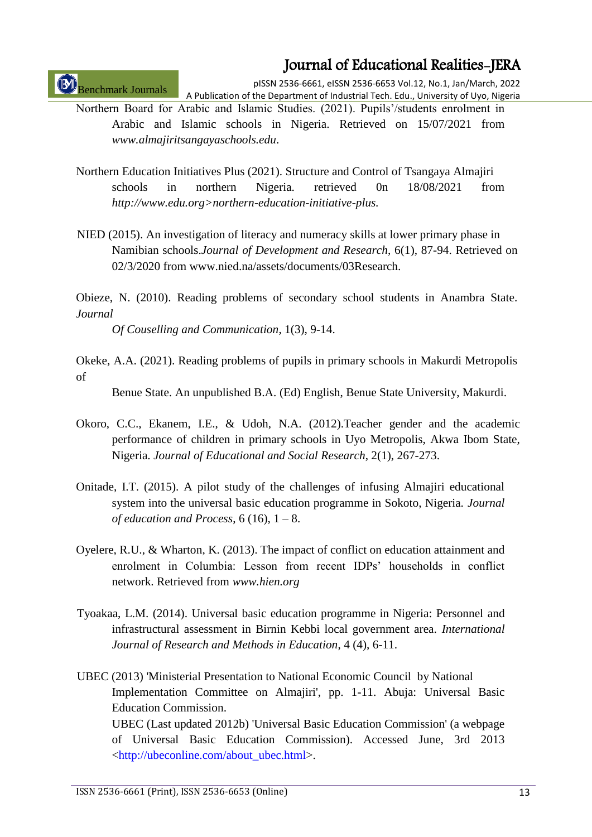Benchmark Journals

pISSN 2536-6661, eISSN 2536-6653 Vol.12, No.1, Jan/March, 2022 A Publication of the Department of Industrial Tech. Edu., University of Uyo, Nigeria

- Northern Board for Arabic and Islamic Studies. (2021). Pupils"/students enrolment in Arabic and Islamic schools in Nigeria. Retrieved on 15/07/2021 from *www.almajiritsangayaschools.edu*.
- Northern Education Initiatives Plus (2021). Structure and Control of Tsangaya Almajiri schools in northern Nigeria. retrieved 0n 18/08/2021 from *http://www.edu.org>northern-education-initiative-plus.*
- NIED (2015). An investigation of literacy and numeracy skills at lower primary phase in Namibian schools.*Journal of Development and Research*, 6(1), 87-94. Retrieved on 02/3/2020 from www.nied.na/assets/documents/03Research.

Obieze, N. (2010). Reading problems of secondary school students in Anambra State. *Journal* 

*Of Couselling and Communication*, 1(3), 9-14.

Okeke, A.A. (2021). Reading problems of pupils in primary schools in Makurdi Metropolis of

Benue State. An unpublished B.A. (Ed) English, Benue State University, Makurdi.

- Okoro, C.C., Ekanem, I.E., & Udoh, N.A. (2012).Teacher gender and the academic performance of children in primary schools in Uyo Metropolis, Akwa Ibom State, Nigeria. *Journal of Educational and Social Research*, 2(1), 267-273.
- Onitade, I.T. (2015). A pilot study of the challenges of infusing Almajiri educational system into the universal basic education programme in Sokoto, Nigeria. *Journal of education and Process*, 6 (16), 1 – 8.
- Oyelere, R.U., & Wharton, K. (2013). The impact of conflict on education attainment and enrolment in Columbia: Lesson from recent IDPs' households in conflict network. Retrieved from *www.hien.org*
- Tyoakaa, L.M. (2014). Universal basic education programme in Nigeria: Personnel and infrastructural assessment in Birnin Kebbi local government area. *International Journal of Research and Methods in Education*, 4 (4), 6-11.
- UBEC (2013) 'Ministerial Presentation to National Economic Council by National Implementation Committee on Almajiri', pp. 1-11. Abuja: Universal Basic Education Commission. UBEC (Last updated 2012b) 'Universal Basic Education Commission' (a webpage of Universal Basic Education Commission). Accessed June, 3rd 2013 [<h](http://ubeconline.com/about_ubec.html)ttp://ubeconline.com/about\_ubec.htm[l>.](http://ubeconline.com/about_ubec.html)